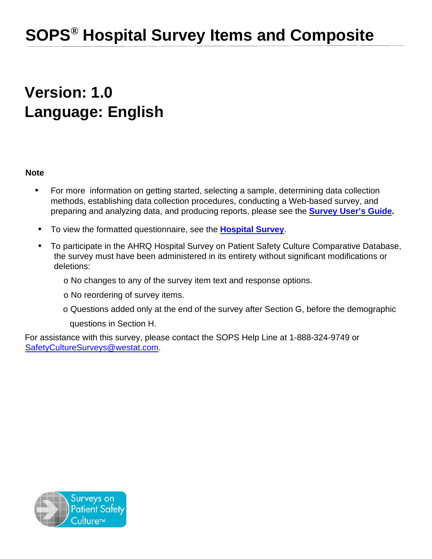# **SOPS® Hospital Survey Items and Composite**

# **Version: 1.0 Language: English**

# **Note**

- For more information on getting started, selecting a sample, determining data collection methods, establishing data collection procedures, conducting a Web-based survey, and preparing and analyzing data, and producing reports, please see the **[Survey User's Guide.](http://www.ahrq.gov/sites/default/files/wysiwyg/professionals/quality-patient-safety/patientsafetyculture/hospital/userguide/hospcult.pdf)**
- To view the formatted questionnaire, see the **[Hospital Survey](http://www.ahrq.gov/sites/default/files/wysiwyg/professionals/quality-patient-safety/patientsafetyculture/hospital/resources/hospscanform.pdf)**.
- To participate in the AHRQ Hospital Survey on Patient Safety Culture Comparative Database, the survey must have been administered in its entirety without significant modifications or deletions:
	- o No changes to any of the survey item text and response options.
	- o No reordering of survey items.
	- o Questions added only at the end of the survey after Section G, before the demographic

questions in Section H.

For assistance with this survey, please contact the SOPS Help Line at 1-888-324-9749 or [SafetyCultureSurveys@westat.com.](mailto:SafetyCultureSurveys@westat.com)

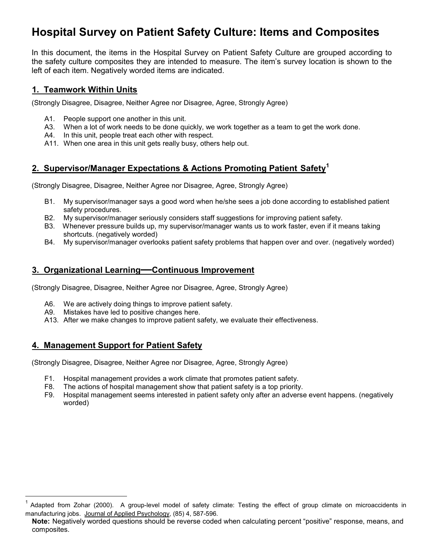# **Hospital Survey on Patient Safety Culture: Items and Composites**

In this document, the items in the Hospital Survey on Patient Safety Culture are grouped according to the safety culture composites they are intended to measure. The item's survey location is shown to the left of each item. Negatively worded items are indicated.

### **1. Teamwork Within Units**

(Strongly Disagree, Disagree, Neither Agree nor Disagree, Agree, Strongly Agree)

- A1. People support one another in this unit.
- A3. When a lot of work needs to be done quickly, we work together as a team to get the work done.
- A4. In this unit, people treat each other with respect.
- A11. When one area in this unit gets really busy, others help out.

# **2. Supervisor/Manager Expectations & Actions Promoting Patient Safety<sup>1</sup>**

(Strongly Disagree, Disagree, Neither Agree nor Disagree, Agree, Strongly Agree)

- B1. My supervisor/manager says a good word when he/she sees a job done according to established patient safety procedures.
- B2. My supervisor/manager seriously considers staff suggestions for improving patient safety.
- B3. Whenever pressure builds up, my supervisor/manager wants us to work faster, even if it means taking shortcuts. (negatively worded)
- B4. My supervisor/manager overlooks patient safety problems that happen over and over. (negatively worded)

### **3. Organizational Learning—Continuous Improvement**

(Strongly Disagree, Disagree, Neither Agree nor Disagree, Agree, Strongly Agree)

- A6. We are actively doing things to improve patient safety.
- A9. Mistakes have led to positive changes here.
- A13. After we make changes to improve patient safety, we evaluate their effectiveness.

# **4. Management Support for Patient Safety**

(Strongly Disagree, Disagree, Neither Agree nor Disagree, Agree, Strongly Agree)

- F1. Hospital management provides a work climate that promotes patient safety.
- F8. The actions of hospital management show that patient safety is a top priority.
- F9. Hospital management seems interested in patient safety only after an adverse event happens. (negatively worded)

 $1$  Adapted from Zohar (2000). A group-level model of safety climate: Testing the effect of group climate on microaccidents in manufacturing jobs. Journal of Applied Psychology, (85) 4, 587-596.

**Note:** Negatively worded questions should be reverse coded when calculating percent "positive" response, means, and composites.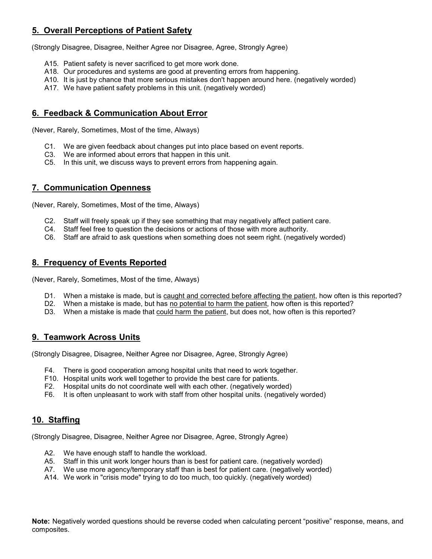# **5. Overall Perceptions of Patient Safety**

(Strongly Disagree, Disagree, Neither Agree nor Disagree, Agree, Strongly Agree)

- A15. Patient safety is never sacrificed to get more work done.
- A18. Our procedures and systems are good at preventing errors from happening.
- A10. It is just by chance that more serious mistakes don't happen around here. (negatively worded)
- A17. We have patient safety problems in this unit. (negatively worded)

#### **6. Feedback & Communication About Error**

(Never, Rarely, Sometimes, Most of the time, Always)

- C1. We are given feedback about changes put into place based on event reports.
- C3. We are informed about errors that happen in this unit.
- C5. In this unit, we discuss ways to prevent errors from happening again.

#### **7. Communication Openness**

(Never, Rarely, Sometimes, Most of the time, Always)

- C2. Staff will freely speak up if they see something that may negatively affect patient care.
- C4. Staff feel free to question the decisions or actions of those with more authority.
- C6. Staff are afraid to ask questions when something does not seem right. (negatively worded)

#### **8. Frequency of Events Reported**

(Never, Rarely, Sometimes, Most of the time, Always)

- D1. When a mistake is made, but is caught and corrected before affecting the patient, how often is this reported?
- D2. When a mistake is made, but has no potential to harm the patient, how often is this reported?
- D3. When a mistake is made that could harm the patient, but does not, how often is this reported?

#### **9. Teamwork Across Units**

(Strongly Disagree, Disagree, Neither Agree nor Disagree, Agree, Strongly Agree)

- F4. There is good cooperation among hospital units that need to work together.
- F10. Hospital units work well together to provide the best care for patients.
- F2. Hospital units do not coordinate well with each other. (negatively worded)
- F6. It is often unpleasant to work with staff from other hospital units. (negatively worded)

#### **10. Staffing**

(Strongly Disagree, Disagree, Neither Agree nor Disagree, Agree, Strongly Agree)

- A2. We have enough staff to handle the workload.
- A5. Staff in this unit work longer hours than is best for patient care. (negatively worded)
- A7. We use more agency/temporary staff than is best for patient care. (negatively worded)
- A14. We work in "crisis mode" trying to do too much, too quickly. (negatively worded)

**Note:** Negatively worded questions should be reverse coded when calculating percent "positive" response, means, and composites.